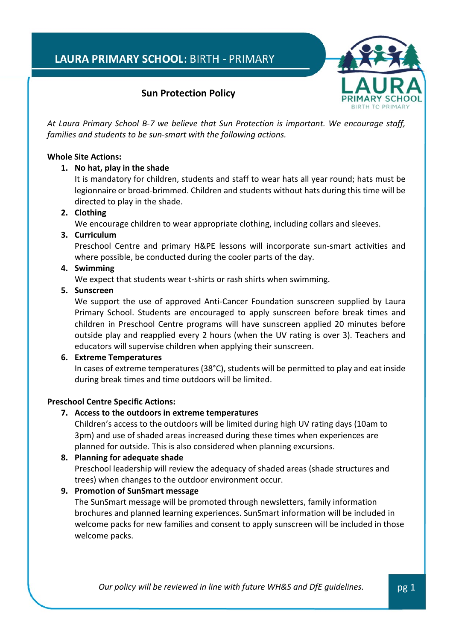

# **Sun Protection Policy**

*At Laura Primary School B-7 we believe that Sun Protection is important. We encourage staff, families and students to be sun-smart with the following actions.*

### **Whole Site Actions:**

### **1. No hat, play in the shade**

It is mandatory for children, students and staff to wear hats all year round; hats must be legionnaire or broad-brimmed. Children and students without hats during this time will be directed to play in the shade.

# **2. Clothing**

We encourage children to wear appropriate clothing, including collars and sleeves.

### **3. Curriculum**

Preschool Centre and primary H&PE lessons will incorporate sun-smart activities and where possible, be conducted during the cooler parts of the day.

### **4. Swimming**

We expect that students wear t-shirts or rash shirts when swimming.

#### **5. Sunscreen**

We support the use of approved Anti-Cancer Foundation sunscreen supplied by Laura Primary School. Students are encouraged to apply sunscreen before break times and children in Preschool Centre programs will have sunscreen applied 20 minutes before outside play and reapplied every 2 hours (when the UV rating is over 3). Teachers and educators will supervise children when applying their sunscreen.

## **6. Extreme Temperatures**

In cases of extreme temperatures (38°C), students will be permitted to play and eat inside during break times and time outdoors will be limited.

## **Preschool Centre Specific Actions:**

## **7. Access to the outdoors in extreme temperatures**

Children's access to the outdoors will be limited during high UV rating days (10am to 3pm) and use of shaded areas increased during these times when experiences are planned for outside. This is also considered when planning excursions.

#### **8. Planning for adequate shade**

Preschool leadership will review the adequacy of shaded areas (shade structures and trees) when changes to the outdoor environment occur.

## **9. Promotion of SunSmart message**

The SunSmart message will be promoted through newsletters, family information brochures and planned learning experiences. SunSmart information will be included in welcome packs for new families and consent to apply sunscreen will be included in those welcome packs.